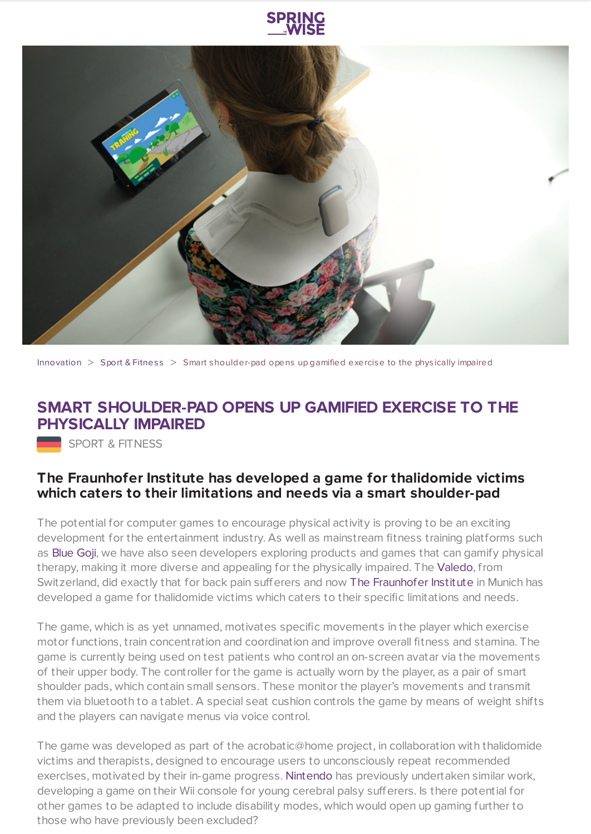



[Innovation](https://www.springwise.com/search?type=innovation)  $>$  Sport & [Fitnes](https://www.springwise.com/search?type=innovation§or=sport-fitness)s  $>$  Smart shoulder-pad opens up gamified exercise to the physically impaired

## **SMART SHOULDER-PAD OPENS UP GAMIFIED EXERCISE TO THE PHYSICALLY IMPAIRED**

SPORT & FITNESS

## **The Fraunhofer Institute has developed a game for thalidomide victims which caters to their limitations and needs via a smart shoulder-pad**

The potential for computer games to encourage physical activity is proving to be an exciting development for the entertainment industry. As well as mainstream fitness training platforms such as [Blue](https://www.springwise.com/blue-goji-turns-exercise-gaming-session/) Goji, we have also seen developers exploring products and games that can gamify physical therapy, making it more diverse and appealing for the physically impaired. The [Valedo](https://www.springwise.com/wearable-sensors-gamify-physical-therapy/), from Switzerland, did exactly that for back pain sufferers and now The [Fraunhofer](http://www.fraunhofer.de/en/press/research-news/2015/february/fitness-game-for-the-physically-impaired.html) Institute in Munich has developed a game for thalidomide victims which caters to their specific limitations and needs.

The game, which is as yet unnamed, motivates specific movements in the player which exercise motor functions, train concentration and coordination and improve overall fitness and stamina. The game is currently being used on test patients who control an on-screen avatar via the movements of their upper body. The controller for the game is actually worn by the player, as a pair of smart shoulder pads, which contain small sensors. These monitor the player's movements and transmit them via bluetooth to a tablet. A special seat cushion controls the game by means of weight shifts and the players can navigate menus via voice control.

The game was developed as part of the acrobatic@home project, in collaboration with thalidomide victims and therapists, designed to encourage users to unconsciously repeat recommended exercises, motivated by their in-game progress. [Nintendo](http://news.sky.com/story/618361/nintendo-wii-finds-disabled-appeal) has previously undertaken similar work, developing a game on their Wii console for young cerebral palsy sufferers. Is there potential for other games to be adapted to include disability modes, which would open up gaming further to those who have previously been excluded?